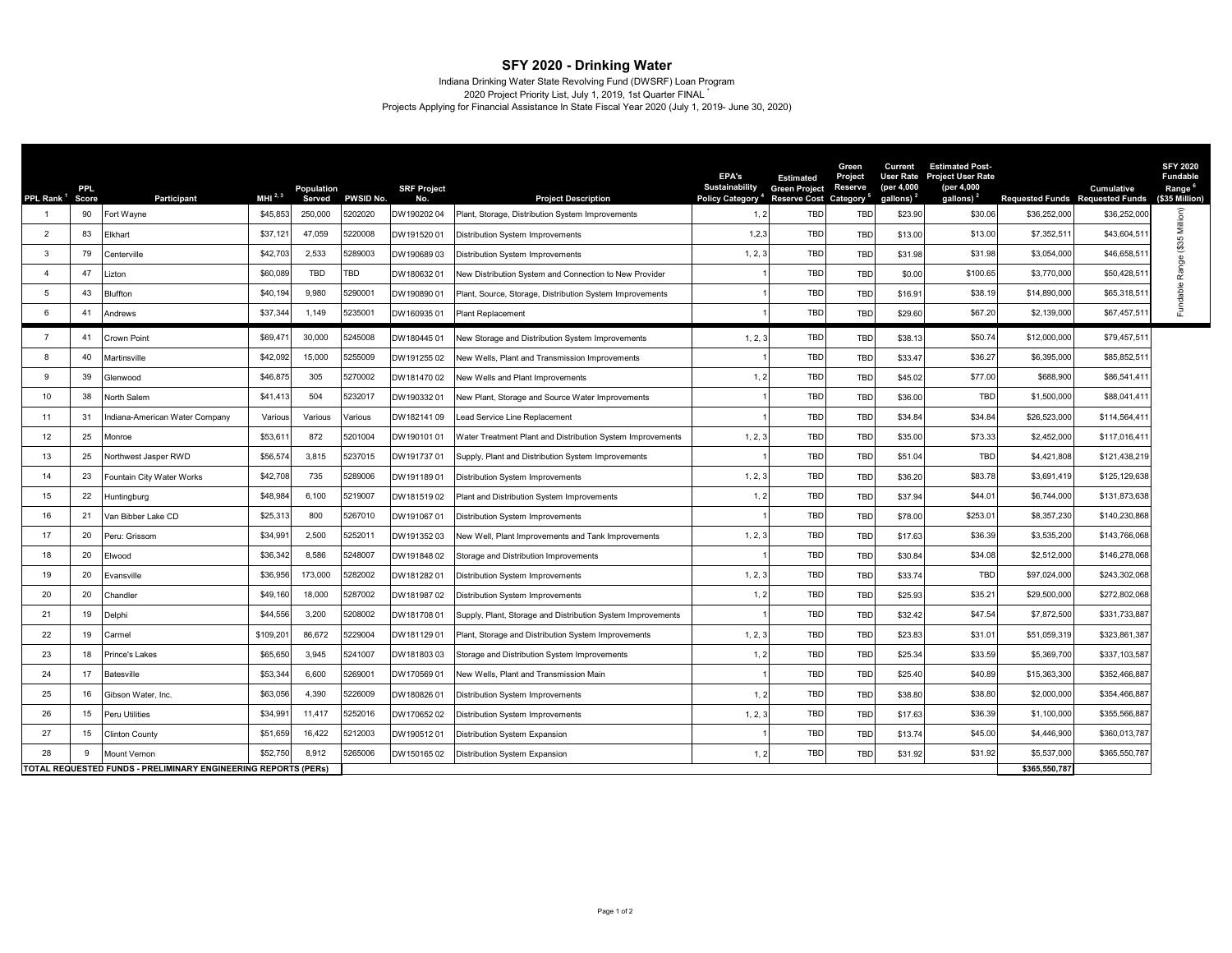## **SFY 2020 - Drinking Water**

Indiana Drinking Water State Revolving Fund (DWSRF) Loan Program<br>2020 Project Priority List, July 1, 2019, 1st Quarter FINAL

Projects Applying for Financial Assistance In State Fiscal Year 2020 (July 1, 2019- June 30, 2020)

| PPL Rank <sup>1</sup>                                                | PPL<br>Score | <b>Participant</b>            | MHI $^{2,3}$ | Population<br>Served | PWSID No. | <b>SRF Project</b><br>No. | <b>Project Description</b>                                  | EPA's<br><b>Sustainability</b><br>Policy Category <sup>4</sup> | <b>Estimated</b><br><b>Green Project</b><br>Reserve Cost Category <sup>®</sup> | Green<br>Project<br>Reserve | Current<br>(per 4,000<br>gallons) <sup>2</sup> | <b>Estimated Post-</b><br>User Rate Project User Rate<br>(per 4,000<br>gallons) <sup>2</sup> | <b>Requested Funds</b> Requested Funds | <b>Cumulative</b> | <b>SFY 2020</b><br>Fundable<br>Range <sup>6</sup><br>(\$35 Million) |
|----------------------------------------------------------------------|--------------|-------------------------------|--------------|----------------------|-----------|---------------------------|-------------------------------------------------------------|----------------------------------------------------------------|--------------------------------------------------------------------------------|-----------------------------|------------------------------------------------|----------------------------------------------------------------------------------------------|----------------------------------------|-------------------|---------------------------------------------------------------------|
|                                                                      | 90           | Fort Wayne                    | \$45,853     | 250,000              | 202020    | DW19020204                | Plant, Storage, Distribution System Improvements            | 1, 2                                                           | TBD                                                                            | TBD                         | \$23.90                                        | \$30.06                                                                                      | \$36,252,000                           | \$36,252,00       |                                                                     |
| $\overline{2}$                                                       | 83           | Elkhart                       | \$37.121     | 47,059               | 220008    | DW19152001                | Distribution System Improvements                            | 1,2,3                                                          | <b>TBD</b>                                                                     | <b>TBD</b>                  | \$13.00                                        | \$13.00                                                                                      | \$7,352,51                             | \$43,604,51       | Range (\$35 Million)                                                |
| 3                                                                    | 79           | Centerville                   | \$42,703     | 2,533                | 289003    | DW19068903                | <b>Distribution System Improvements</b>                     | 1, 2, 3                                                        | <b>TBD</b>                                                                     | <b>TBD</b>                  | \$31.98                                        | \$31.98                                                                                      | \$3,054,000                            | \$46,658.51       |                                                                     |
| $\Delta$                                                             | 47           | .izton                        | \$60,089     | TBD                  | TBD       | DW18063201                | New Distribution System and Connection to New Provider      |                                                                | TBD                                                                            | TBD                         | \$0.00                                         | \$100.65                                                                                     | \$3,770,000                            | \$50,428,51       |                                                                     |
| 5                                                                    | 43           | Bluffton                      | \$40.194     | 9,980                | \$290001  | DW19089001                | Plant, Source, Storage, Distribution System Improvements    |                                                                | <b>TBD</b>                                                                     | TBD                         | \$16.91                                        | \$38.19                                                                                      | \$14,890,000                           | \$65,318,51       | Fundable                                                            |
| 6                                                                    | 41           | Andrews                       | \$37,344     | 1,149                | 235001    | DW16093501                | Plant Replacement                                           |                                                                | <b>TBD</b>                                                                     | TBD                         | \$29.60                                        | \$67.20                                                                                      | \$2,139,000                            | \$67,457,51       |                                                                     |
| $\overline{7}$                                                       | 41           | Crown Point                   | \$69,471     | 30,000               | 245008    | DW18044501                | New Storage and Distribution System Improvements            | 1, 2,                                                          | <b>TBD</b>                                                                     | <b>TBD</b>                  | \$38.13                                        | \$50.74                                                                                      | \$12,000,000                           | \$79,457,51       |                                                                     |
| 8                                                                    | 40           | <b>Aartinsville</b>           | \$42,092     | 15,000               | 255009    | DW19125502                | New Wells, Plant and Transmission Improvements              |                                                                | TBD                                                                            | TBD                         | \$33.47                                        | \$36.27                                                                                      | \$6,395,000                            | \$85,852,51       |                                                                     |
| 9                                                                    | 39           | Glenwood                      | \$46,875     | 305                  | 270002    | DW18147002                | New Wells and Plant Improvements                            | 1, 2                                                           | <b>TBD</b>                                                                     | <b>TBD</b>                  | \$45.02                                        | \$77.00                                                                                      | \$688,900                              | \$86,541,41       |                                                                     |
| 10                                                                   | 38           | North Salem                   | \$41,413     | 504                  | 232017    | DW19033201                | New Plant, Storage and Source Water Improvements            |                                                                | <b>TBD</b>                                                                     | <b>TBD</b>                  | \$36.00                                        | TBD                                                                                          | \$1,500,000                            | \$88,041,41       |                                                                     |
| 11                                                                   | 31           | ndiana-American Water Company | Various      | Various              | /arious   | DW18214109                | ead Service Line Replacement                                |                                                                | TBD                                                                            | <b>TBD</b>                  | \$34.84                                        | \$34.84                                                                                      | \$26,523,000                           | \$114,564.41      |                                                                     |
| 12                                                                   | 25           | Monroe                        | \$53,61      | 872                  | 201004    | DW19010101                | Water Treatment Plant and Distribution System Improvements  | 1, 2, 3                                                        | TBD                                                                            | <b>TBD</b>                  | \$35.00                                        | \$73.33                                                                                      | \$2,452,000                            | \$117,016,41      |                                                                     |
| 13                                                                   | 25           | Northwest Jasper RWD          | \$56,574     | 3,815                | 5237015   | DW19173701                | Supply, Plant and Distribution System Improvements          |                                                                | <b>TBD</b>                                                                     | TBD                         | \$51.04                                        | <b>TBD</b>                                                                                   | \$4,421,808                            | \$121,438,219     |                                                                     |
| 14                                                                   | 23           | Fountain City Water Works     | \$42,708     | 735                  | 289006    | DW19118901                | Distribution System Improvements                            | 1, 2, 3                                                        | <b>TBD</b>                                                                     | <b>TBD</b>                  | \$36.20                                        | \$83.78                                                                                      | \$3,691,419                            | \$125,129,638     |                                                                     |
| 15                                                                   | 22           | Huntingburg                   | \$48,984     | 6,100                | 5219007   | DW18151902                | Plant and Distribution System Improvements                  | 1, 2                                                           | <b>TBD</b>                                                                     | <b>TBD</b>                  | \$37.94                                        | \$44.01                                                                                      | \$6,744,000                            | \$131,873,638     |                                                                     |
| 16                                                                   | 21           | Van Bibber Lake CD            | \$25,313     | 800                  | 267010    | DW19106701                | <b>Distribution System Improvements</b>                     |                                                                | TBD                                                                            | <b>TBD</b>                  | \$78.00                                        | \$253.01                                                                                     | \$8,357,230                            | \$140,230,868     |                                                                     |
| 17                                                                   | 20           | Peru: Grissom                 | \$34,991     | 2,500                | 252011    | DW19135203                | New Well, Plant Improvements and Tank Improvements          | 1, 2, 3                                                        | TBD                                                                            | TBD                         | \$17.63                                        | \$36.39                                                                                      | \$3,535,200                            | \$143,766,068     |                                                                     |
| 18                                                                   | 20           | Elwood                        | \$36,342     | 8,586                | 5248007   | DW19184802                | Storage and Distribution Improvements                       |                                                                | TBD                                                                            | TBD                         | \$30.84                                        | \$34.08                                                                                      | \$2,512,000                            | \$146,278,068     |                                                                     |
| 19                                                                   | 20           | Evansville                    | \$36,956     | 173,000              | 282002    | DW18128201                | Distribution System Improvements                            | 1, 2, 3                                                        | <b>TBD</b>                                                                     | TBD                         | \$33.74                                        | <b>TBD</b>                                                                                   | \$97,024,000                           | \$243,302,068     |                                                                     |
| 20                                                                   | 20           | Chandler                      | \$49,160     | 18,000               | 5287002   | DW18198702                | Distribution System Improvements                            | 1, 2                                                           | <b>TBD</b>                                                                     | <b>TBD</b>                  | \$25.93                                        | \$35.21                                                                                      | \$29,500,000                           | \$272,802,068     |                                                                     |
| 21                                                                   | 19           | Delphi                        | \$44,556     | 3,200                | 208002    | DW181708 01               | Supply, Plant, Storage and Distribution System Improvements |                                                                | <b>TBD</b>                                                                     | <b>TBD</b>                  | \$32.42                                        | \$47.54                                                                                      | \$7,872,500                            | \$331,733,887     |                                                                     |
| 22                                                                   | 19           | Carmel                        | \$109,201    | 86,672               | 229004    | DW18112901                | Plant, Storage and Distribution System Improvements         | 1, 2, 3                                                        | TBD                                                                            | TBD                         | \$23.83                                        | \$31.01                                                                                      | \$51,059,319                           | \$323,861,387     |                                                                     |
| 23                                                                   | 18           | Prince's Lakes                | \$65,650     | 3,945                | 241007    | DW18180303                | Storage and Distribution System Improvements                | 1, 2                                                           | <b>TBD</b>                                                                     | <b>TBD</b>                  | \$25.34                                        | \$33.59                                                                                      | \$5,369,700                            | \$337,103,587     |                                                                     |
| 24                                                                   | 17           | Batesville                    | \$53,344     | 6,600                | 269001    | DW17056901                | New Wells, Plant and Transmission Main                      |                                                                | <b>TBD</b>                                                                     | <b>TBD</b>                  | \$25.40                                        | \$40.89                                                                                      | \$15,363,300                           | \$352,466,887     |                                                                     |
| 25                                                                   | 16           | Gibson Water, Inc.            | \$63,056     | 4,390                | 226009    | DW18082601                | <b>Distribution System Improvements</b>                     | 1, 2                                                           | TBD                                                                            | TBD                         | \$38.80                                        | \$38.80                                                                                      | \$2,000,000                            | \$354,466,887     |                                                                     |
| 26                                                                   | 15           | Peru Utilities                | \$34.991     | 11,417               | 252016    | DW17065202                | Distribution System Improvements                            | 1, 2, 3                                                        | <b>TBD</b>                                                                     | <b>TBD</b>                  | \$17.63                                        | \$36.39                                                                                      | \$1,100,000                            | \$355,566,887     |                                                                     |
| 27                                                                   | 15           | <b>Clinton County</b>         | \$51,659     | 16,422               | 212003    | DW19051201                | Distribution System Expansion                               |                                                                | TBD                                                                            | TBD                         | \$13.74                                        | \$45.00                                                                                      | \$4,446,900                            | \$360,013,787     |                                                                     |
| 28                                                                   | 9            | Mount Vernon                  | \$52,750     | 8,912                | 265006    | DW15016502                | Distribution System Expansion                               | 1, 2                                                           | <b>TBD</b>                                                                     | <b>TBC</b>                  | \$31.92                                        | \$31.92                                                                                      | \$5,537,000                            | \$365,550,787     |                                                                     |
| <b>OTAL REQUESTED FUNDS - PRELIMINARY ENGINEERING REPORTS (PERS)</b> |              |                               |              |                      |           |                           |                                                             |                                                                |                                                                                |                             |                                                |                                                                                              | \$365,550,787                          |                   |                                                                     |